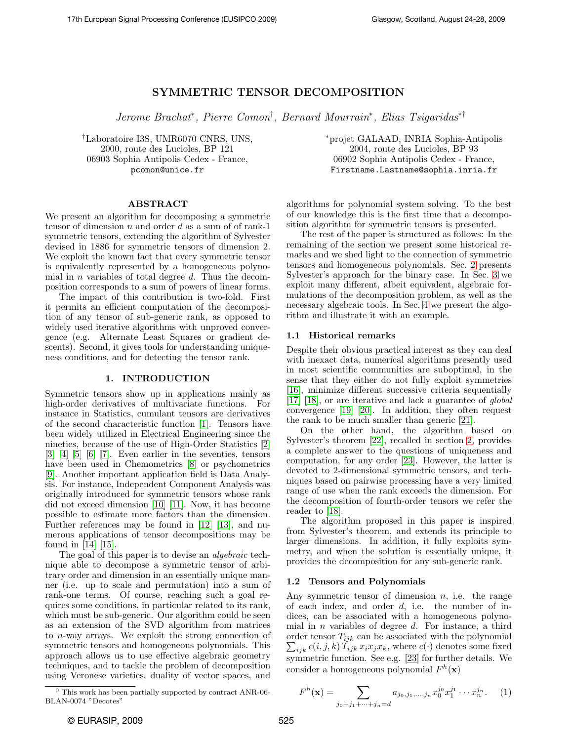# SYMMETRIC TENSOR DECOMPOSITION

Jerome Brachat<sup>∗</sup> , Pierre Comon† , Bernard Mourrain<sup>∗</sup> , Elias Tsigaridas∗†

†Laboratoire I3S, UMR6070 CNRS, UNS, 2000, route des Lucioles, BP 121 06903 Sophia Antipolis Cedex - France, pcomon@unice.fr

ABSTRACT

We present an algorithm for decomposing a symmetric tensor of dimension  $n$  and order  $d$  as a sum of of rank-1 symmetric tensors, extending the algorithm of Sylvester devised in 1886 for symmetric tensors of dimension 2. We exploit the known fact that every symmetric tensor is equivalently represented by a homogeneous polynomial in  $n$  variables of total degree  $d$ . Thus the decomposition corresponds to a sum of powers of linear forms.

The impact of this contribution is two-fold. First it permits an efficient computation of the decomposition of any tensor of sub-generic rank, as opposed to widely used iterative algorithms with unproved convergence (e.g. Alternate Least Squares or gradient descents). Second, it gives tools for understanding uniqueness conditions, and for detecting the tensor rank.

#### 1. INTRODUCTION

<span id="page-0-0"></span>Symmetric tensors show up in applications mainly as high-order derivatives of multivariate functions. For instance in Statistics, cumulant tensors are derivatives of the second characteristic function [\[1\]](#page-4-0). Tensors have been widely utilized in Electrical Engineering since the nineties, because of the use of High-Order Statistics [\[2\]](#page-4-1) [\[3\]](#page-4-2) [\[4\]](#page-4-3) [\[5\]](#page-4-4) [\[6\]](#page-4-5) [\[7\]](#page-4-6). Even earlier in the seventies, tensors have been used in Chemometrics [\[8\]](#page-4-7) or psychometrics [\[9\]](#page-4-8). Another important application field is Data Analysis. For instance, Independent Component Analysis was originally introduced for symmetric tensors whose rank did not exceed dimension [\[10\]](#page-4-9) [\[11\]](#page-4-10). Now, it has become possible to estimate more factors than the dimension. Further references may be found in [\[12\]](#page-4-11) [\[13\]](#page-4-12), and numerous applications of tensor decompositions may be found in [\[14\]](#page-4-13) [\[15\]](#page-4-14).

The goal of this paper is to devise an algebraic technique able to decompose a symmetric tensor of arbitrary order and dimension in an essentially unique manner (i.e. up to scale and permutation) into a sum of rank-one terms. Of course, reaching such a goal requires some conditions, in particular related to its rank, which must be sub-generic. Our algorithm could be seen as an extension of the SVD algorithm from matrices to n-way arrays. We exploit the strong connection of symmetric tensors and homogeneous polynomials. This approach allows us to use effective algebraic geometry techniques, and to tackle the problem of decomposition using Veronese varieties, duality of vector spaces, and

<sup>∗</sup>projet GALAAD, INRIA Sophia-Antipolis 2004, route des Lucioles, BP 93 06902 Sophia Antipolis Cedex - France, Firstname.Lastname@sophia.inria.fr

algorithms for polynomial system solving. To the best of our knowledge this is the first time that a decomposition algorithm for symmetric tensors is presented.

The rest of the paper is structured as follows: In the remaining of the section we present some historical remarks and we shed light to the connection of symmetric tensors and homogeneous polynomials. Sec. [2](#page-1-0) presents Sylvester's approach for the binary case. In Sec. [3](#page-1-1) we exploit many different, albeit equivalent, algebraic formulations of the decomposition problem, as well as the necessary algebraic tools. In Sec. [4](#page-2-0) we present the algorithm and illustrate it with an example.

#### 1.1 Historical remarks

Despite their obvious practical interest as they can deal with inexact data, numerical algorithms presently used in most scientific communities are suboptimal, in the sense that they either do not fully exploit symmetries [\[16\]](#page-4-15), minimize different successive criteria sequentially [\[17\]](#page-4-16) [\[18\]](#page-4-17), or are iterative and lack a guarantee of global convergence [\[19\]](#page-4-18) [\[20\]](#page-4-19). In addition, they often request the rank to be much smaller than generic [\[21\]](#page-4-20).

On the other hand, the algorithm based on Sylvester's theorem [\[22\]](#page-4-21), recalled in section [2,](#page-1-0) provides a complete answer to the questions of uniqueness and computation, for any order [\[23\]](#page-4-22). However, the latter is devoted to 2-dimensional symmetric tensors, and techniques based on pairwise processing have a very limited range of use when the rank exceeds the dimension. For the decomposition of fourth-order tensors we refer the reader to [\[18\]](#page-4-17).

The algorithm proposed in this paper is inspired from Sylvester's theorem, and extends its principle to larger dimensions. In addition, it fully exploits symmetry, and when the solution is essentially unique, it provides the decomposition for any sub-generic rank.

### 1.2 Tensors and Polynomials

Any symmetric tensor of dimension  $n$ , i.e. the range of each index, and order  $d$ , i.e. the number of indices, can be associated with a homogeneous polynomial in  $n$  variables of degree  $d$ . For instance, a third  $\sum_{ijk} c(i, j, k) \tilde{T}_{ijk} x_i x_j x_k$ , where  $c(\cdot)$  denotes some fixed order tensor  $T_{ijk}$  can be associated with the polynomial symmetric function. See e.g. [\[23\]](#page-4-22) for further details. We consider a homogeneous polynomial  $F^h(\mathbf{x})$ 

<span id="page-0-1"></span>
$$
F^{h}(\mathbf{x}) = \sum_{j_0 + j_1 + \dots + j_n = d} a_{j_0, j_1, \dots, j_n} x_0^{j_0} x_1^{j_1} \dots x_n^{j_n}.
$$
 (1)

 $^{0}$  This work has been partially supported by contract ANR-06-BLAN-0074 "Decotes"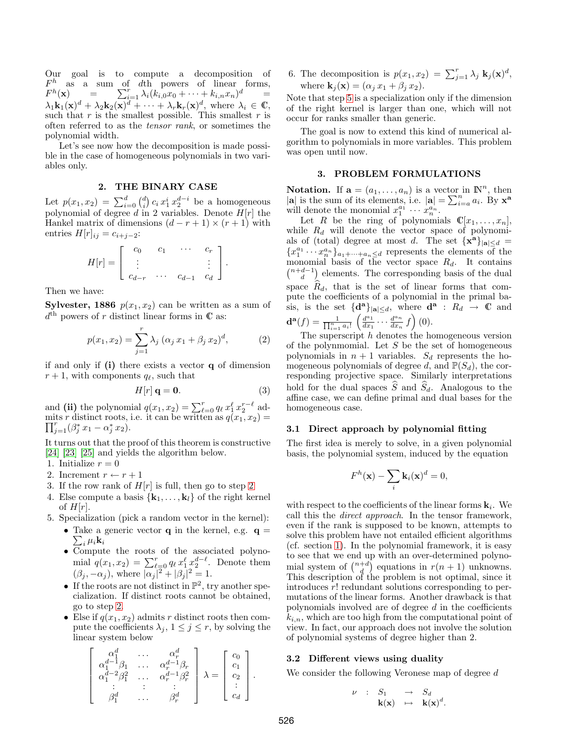Our goal is to compute a decomposition of  $F<sup>h</sup>$  as a sum of dth powers of linear forms,  $F^h$  $(\mathbf{x}) = \sum_{i=1}^{r} \lambda_i (k_{i,0} x_0 + \cdots + k_{i,n} x_n)^d =$  $\sum_{i=1}^r \lambda_i (k_{i,0}x_0 + \cdots + k_{i,n}x_n)^d$  $\lambda_1 \mathbf{k}_1(\mathbf{x})^d + \lambda_2 \mathbf{k}_2(\mathbf{x})^d + \cdots + \lambda_r \mathbf{k}_r(\mathbf{x})^d$ , where  $\lambda_i \in \mathbb{C}$ , such that r is the smallest possible. This smallest r is often referred to as the tensor rank, or sometimes the polynomial width.

Let's see now how the decomposition is made possible in the case of homogeneous polynomials in two variables only.

# 2. THE BINARY CASE

<span id="page-1-0"></span>Let  $p(x_1, x_2) = \sum_{i=0}^{d} {d \choose i} c_i x_1^i x_2^{d-i}$  be a homogeneous polynomial of degree d in 2 variables. Denote  $H[r]$  the Hankel matrix of dimensions  $(d - r + 1) \times (r + 1)$  with entries  $H[r]_{ij} = c_{i+j-2}$ :

$$
H[r] = \left[ \begin{array}{cccc} c_0 & c_1 & \cdots & c_r \\ \vdots & & & \vdots \\ c_{d-r} & \cdots & c_{d-1} & c_d \end{array} \right].
$$

Then we have:

**Sylvester, 1886**  $p(x_1, x_2)$  can be written as a sum of  $d<sup>th</sup>$  powers of r distinct linear forms in  $\mathbb C$  as:

$$
p(x_1, x_2) = \sum_{j=1}^{r} \lambda_j \left( \alpha_j x_1 + \beta_j x_2 \right)^d, \tag{2}
$$

if and only if  $(i)$  there exists a vector  $q$  of dimension  $r + 1$ , with components  $q_\ell$ , such that

$$
H[r] \mathbf{q} = \mathbf{0}.\tag{3}
$$

and (ii) the polynomial  $q(x_1, x_2) = \sum_{\ell=0}^r q_\ell x_1^\ell x_2^{r-\ell}$  admits r distinct roots, i.e. it can be written as  $q(x_1, x_2) = \nabla^r (a * x_1 \cdot a * x_2)$  $\prod_{j=1}^r (\beta_j^* x_1 - \alpha_j^* x_2).$ 

It turns out that the proof of this theorem is constructive [\[24\]](#page-4-23) [\[23\]](#page-4-22) [\[25\]](#page-4-24) and yields the algorithm below.

- <span id="page-1-2"></span>1. Initialize  $r = 0$
- 2. Increment  $r \leftarrow r + 1$
- 3. If the row rank of  $H[r]$  is full, then go to step [2](#page-1-2)
- 4. Else compute a basis  $\{k_1, \ldots, k_l\}$  of the right kernel of  $H[r]$ .
- <span id="page-1-3"></span>5. Specialization (pick a random vector in the kernel):
	- Take a generic vector **q** in the kernel, e.g. **q** =  $\sum u_i$ **k**  $\sum_i \mu_i \mathbf{k}_i$
	- Compute the roots of the associated polynomial  $q(x_1, x_2) = \sum_{\ell=0}^r q_\ell x_1^\ell x_2^{d-\ell}$ . Denote them  $(\beta_j, -\alpha_j)$ , where  $|\alpha_j|^2 + |\beta_j|^2 = 1$ .
	- If the roots are not distinct in  $\mathbb{P}^2$ , try another specialization. If distinct roots cannot be obtained, go to step [2.](#page-1-2)
	- Else if  $q(x_1, x_2)$  admits r distinct roots then compute the coefficients  $\lambda_j$ ,  $1 \leq j \leq r$ , by solving the linear system below

$$
\left[\begin{array}{cccc} \alpha_1^d & \ldots & \alpha_r^d \\ \alpha_1^{d-1}\beta_1 & \ldots & \alpha_r^{d-1}\beta_r \\ \alpha_1^{d-2}\beta_1^2 & \ldots & \alpha_r^{d-1}\beta_r^2 \\ \vdots & \vdots & \vdots \\ \beta_1^d & \ldots & \beta_r^d \end{array}\right] \lambda = \left[\begin{array}{c} c_0 \\ c_1 \\ c_2 \\ \vdots \\ c_d \end{array}\right].
$$

6. The decomposition is  $p(x_1, x_2) = \sum_{j=1}^r \lambda_j \mathbf{k}_j(\mathbf{x})^d$ , where  $\mathbf{k}_i(\mathbf{x}) = (\alpha_i x_1 + \beta_i x_2).$ 

Note that step [5](#page-1-3) is a specialization only if the dimension of the right kernel is larger than one, which will not occur for ranks smaller than generic.

The goal is now to extend this kind of numerical algorithm to polynomials in more variables. This problem was open until now.

# 3. PROBLEM FORMULATIONS

<span id="page-1-1"></span>**Notation.** If  $\mathbf{a} = (a_1, \dots, a_n)$  is a vector in  $\mathbb{N}^n$ , then  $|\mathbf{a}|$  is the sum of its elements, i.e.  $|\mathbf{a}| = \sum_{i=a}^{n} a_i$ . By  $\mathbf{x}^{\mathbf{a}}$ will denote the monomial  $x_1^{a_1} \cdots x_n^{a_n}$ .  $\vec{a_1}$ 

Let R be the ring of polynomials  $\mathbb{C}[x_1, \ldots, x_n],$ while  $R_d$  will denote the vector space of polynomials of (total) degree at most d. The set  $\{x^a\}_{|a|\leq d}$  =  ${x_1^{a_1} \cdots x_n^{a_n}}_{a_1+\cdots+a_n \leq d}$  represents the elements of the monomial basis of the vector space  $R_d$ . It contains  $\binom{n+d-1}{d}$  elements. The corresponding basis of the dual space  $R_d$ , that is the set of linear forms that compute the coefficients of a polynomial in the primal basis, is the set  $\{d^a\}_{|a|\leq d}$ , where  $d^a$ :  $R_d \rightarrow \mathbb{C}$  and

$$
\mathbf{d}^{\mathbf{a}}(f) = \frac{1}{\prod_{i=1}^{n} a_i!} \left( \frac{d^{a_1}}{dx_1} \cdots \frac{d^{a_n}}{dx_n} f \right)(0).
$$
\nThe superscript h denotes the h

The superscript  $h$  denotes the homogeneous version of the polynmomial. Let  $S$  be the set of homogeneous polynomials in  $n + 1$  variables.  $S_d$  represents the homogeneous polynomials of degree d, and  $\mathbb{P}(S_d)$ , the corresponding projective space. Similarly interpretations hold for the dual spaces  $\hat{S}$  and  $\hat{S}_d$ . Analogous to the affine case, we can define primal and dual bases for the homogeneous case.

#### 3.1 Direct approach by polynomial fitting

The first idea is merely to solve, in a given polynomial basis, the polynomial system, induced by the equation

$$
F^h(\mathbf{x}) - \sum_i \mathbf{k}_i(\mathbf{x})^d = 0,
$$

with respect to the coefficients of the linear forms  $\mathbf{k}_i$ . We call this the direct approach. In the tensor framework, even if the rank is supposed to be known, attempts to solve this problem have not entailed efficient algorithms (cf. section [1\)](#page-0-0). In the polynomial framework, it is easy to see that we end up with an over-determined polynomial system of  $\binom{n+d}{d}$  equations in  $r(n + 1)$  unknowns. This description of the problem is not optimal, since it introduces r! redundant solutions corresponding to permutations of the linear forms. Another drawback is that polynomials involved are of degree  $d$  in the coefficients  $k_{i,n}$ , which are too high from the computational point of view. In fact, our approach does not involve the solution of polynomial systems of degree higher than 2.

#### <span id="page-1-4"></span>3.2 Different views using duality

We consider the following Veronese map of degree d

$$
\begin{array}{rcl}\n \nu & : & S_1 \quad \longrightarrow & S_d \\
 & \mathbf{k}(\mathbf{x}) \quad \longmapsto & \mathbf{k}(\mathbf{x})^d.\n \end{array}
$$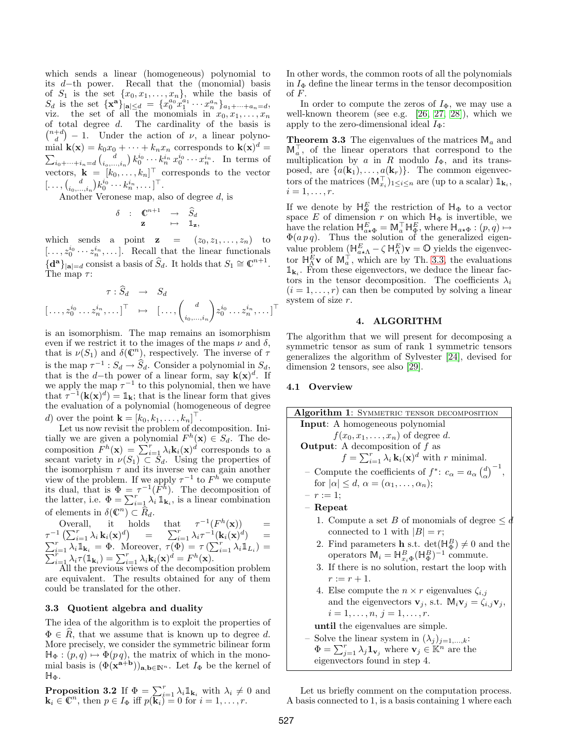which sends a linear (homogeneous) polynomial to its d−th power. Recall that the (monomial) basis of  $S_1$  is the set  $\{x_0, x_1, \ldots, x_n\}$ , while the basis of  $S_d$  is the set  $\{x^a\}_{|a|\leq d} = \{x_0^{a_0}x_1^{a_1}\cdots x_n^{a_n}\}_{a_1+\cdots+a_n=d},$ viz. the set of all the monomials in  $x_0, x_1, \ldots, x_n$ of total degree  $d$ . The cardinality of the basis is  $\binom{n+d}{d} - 1$ . Under the action of  $\nu$ , a linear polynomial  $\mathbf{k}(\mathbf{x}) = k_0 x_0 + \cdots + k_n x_n$  corresponds to  $\mathbf{k}(\mathbf{x})^d =$  $\sum_{i_0+\cdots+i_n=d} {d \choose i_0,\ldots,i_n} k_0^{i_0} \cdots k_n^{i_n} x_0^{i_0} \cdots x_n^{i_n}$ . In terms of vectors,  $\mathbf{k} = [k_0, \dots, k_n]^\top$  corresponds to the vector  $[\ldots, \binom{d}{i_0, \ldots, i_n} k_0^{i_0} \cdots k_n^{i_n}, \ldots]^\top.$ 

Another Veronese map, also of degree d, is

$$
\begin{array}{cccc}\n\delta & : & \mathbb{C}^{n+1} & \to & \widehat{S}_d \\
& \mathbf{z} & \mapsto & \mathbb{1}_{\mathbf{z}},\n\end{array}
$$

which sends a point  $z = (z_0, z_1, \ldots, z_n)$  to  $[\ldots, z_0^{i_0} \cdots z_n^{i_n}, \ldots]$ . Recall that the linear functionals  $\{ \mathbf{d}^{\mathbf{a}} \}_{|\mathbf{a}| = d}$  consist a basis of  $\widehat{S}_d$ . It holds that  $S_1 \cong \mathbb{C}^{n+1}$ . The map  $\tau$ :

$$
\tau : \widehat{S}_d \rightarrow S_d
$$

$$
[\ldots, z_0^{i_0} \ldots z_n^{i_n}, \ldots]^\top \mapsto [\ldots, \binom{d}{i_0, \ldots, i_n} z_0^{i_0} \ldots z_n^{i_n}, \ldots]^\top
$$

is an isomorphism. The map remains an isomorphism even if we restrict it to the images of the maps  $\nu$  and  $\delta$ , that is  $\nu(S_1)$  and  $\delta(\mathbb{C}^n)$ , respectively. The inverse of  $\tau$ is the map  $\tau^{-1}: S_d \to \hat{S}_d$ . Consider a polynomial in  $S_d$ , that is the d–th power of a linear form, say  $\mathbf{k}(\mathbf{x})^d$ . If we apply the map  $\tau^{-1}$  to this polynomial, then we have that  $\tau^{-1}(\mathbf{k}(\mathbf{x})^d) = \mathbb{1}_{\mathbf{k}}$ ; that is the linear form that gives the evaluation of a polynomial (homogeneous of degree d) over the point  $\mathbf{k} = [k_0, k_1, \dots, k_n]^\top$ .

Let us now revisit the problem of decomposition. Initially we are given a polynomial  $F^h(\mathbf{x}) \in S_d$ . The decomposition  $\overline{F}^h(\mathbf{x}) = \sum_{i=1}^r \lambda_i \mathbf{k}_i(\mathbf{x})^d$  corresponds to a secant variety in  $\nu(S_1) \subset S_d$ . Using the properties of the isomorphism  $\tau$  and its inverse we can gain another view of the problem. If we apply  $\tau^{-1}$  to  $F^h$  we compute its dual, that is  $\Phi = \tau^{-1}(\bar{F}^h)$ . The decomposition of the latter, i.e.  $\Phi = \sum_{i=1}^r \lambda_i \mathbb{1}_{\mathbf{k}_i}$ , is a linear combination of elements in  $\delta(\mathbb{C}^n)$  $) \subset R_d$ .

Overall, it holds that  $\tau^{-1}(F^h(\mathbf{x})) =$  $\tau^{-1}\left(\sum_{i=1}^r \lambda_i \, \mathbf{k}_i(\mathbf{x})^d\right) \quad = \quad \sum_{i=1}^r \lambda_i \tau^{-1}(\mathbf{k}_i(\mathbf{x})^d)$  $\sum$  $\begin{array}{lll} \tau^{-1}\left(\sum_{i=1}^r\lambda_i\,\mathbf{k}_i(\mathbf{x})^d\right)&=&\sum_{i=1}^r\lambda_i\tau^{-1}(\mathbf{k}_i(\mathbf{x})^d)&=&\ \sum_{i=1}^r\lambda_i\mathbb{1}_{\mathbf{k}_i}\,=\,\Phi. &\text{Moreover, }\tau(\Phi)=\tau\left(\sum_{i=1}^r\lambda_i\mathbb{1}_{L_i}\right)=\ &\sum_{i=1}^r\lambda_i\tau(\mathbb{1}_{\mathbf{k}_i})=\sum_{i=1}^r\lambda_i\mathbf{k}_i(\mathbf{x})^d=F^h(\mathbf{x}). \end{array}$ 

All the previous views of the decomposition problem are equivalent. The results obtained for any of them could be translated for the other.

# <span id="page-2-1"></span>3.3 Quotient algebra and duality

The idea of the algorithm is to exploit the properties of  $\Phi \in \mathbb{R}$ , that we assume that is known up to degree d. More precisely, we consider the symmetric bilinear form  $\mathbb{H}_{\Phi} : (p,q) \mapsto \Phi(p \, q)$ , the matrix of which in the monomial basis is  $(\Phi(\mathbf{x}^{\mathbf{a}+\mathbf{b}}))_{\mathbf{a},\mathbf{b}\in\mathbb{N}^n}$ . Let  $I_{\Phi}$  be the kernel of  $H_{\Phi}$ .

**Proposition 3.2** If  $\Phi = \sum_{i=1}^r \lambda_i \mathbb{1}_{\mathbf{k}_i}$  with  $\lambda_i \neq 0$  and  $\mathbf{k}_i \in \mathbb{C}^n$ , then  $p \in I_{\Phi}$  iff  $p(\overrightarrow{\mathbf{k}_i}) = 0$  for  $i = 1, \ldots, r$ .

In other words, the common roots of all the polynomials in  $I_{\Phi}$  define the linear terms in the tensor decomposition of F.

In order to compute the zeros of  $I_\Phi$ , we may use a well-known theorem (see e.g. [\[26,](#page-4-25) [27,](#page-4-26) [28\]](#page-4-27)), which we apply to the zero-dimensional ideal  $I_{\Phi}$ :

**Theorem 3.3** The eigenvalues of the matrices  $\mathbb{M}_a$  and  $\mathbb{M}_a^{\top}$ , of the linear operators that correspond to the multiplication by a in R modulo  $I_{\Phi}$ , and its transposed, are  $\{a(\mathbf{k}_1), \ldots, a(\mathbf{k}_r)\}\$ . The common eigenvectors of the matrices  $(\mathbb{M}_{x_i}^{\top})_{1 \leq i \leq n}$  are (up to a scalar)  $\mathbb{1}_{\mathbf{k}_i}$ ,  $i=1,\ldots,r.$ 

If we denote by  $\mathbb{H}_{\Phi}^E$  the restriction of  $\mathbb{H}_{\Phi}$  to a vector space E of dimension r on which  $H_{\Phi}$  is invertible, we have the relation  $\mathbb{H}_{a \star \Phi}^E = \mathbb{M}_a^{\top} \mathbb{H}_{\Phi}^E$ , where  $\mathbb{H}_{a \star \Phi} : (p, q) \mapsto$  $\Phi(a p q)$ . Thus the solution of the generalized eigenvalue problem  $(\mathbb{H}_{a \star \Lambda}^E - \zeta \mathbb{H}_{\Lambda}^E)$ **v** = 0 yields the eigenvector  $\mathbb{H}_{\Lambda}^E$  v of  $\mathbb{M}_a^{\top}$ , which are by Th. [3.3,](#page-2-1) the evaluations  $\mathbb{1}_{\mathbf{k}_i}$ . From these eigenvectors, we deduce the linear factors in the tensor decomposition. The coefficients  $\lambda_i$  $(i = 1, \ldots, r)$  can then be computed by solving a linear system of size r.

#### 4. ALGORITHM

<span id="page-2-0"></span>The algorithm that we will present for decomposing a symmetric tensor as sum of rank 1 symmetric tensors generalizes the algorithm of Sylvester [\[24\]](#page-4-23), devised for dimension 2 tensors, see also [\[29\]](#page-4-28).

## 4.1 Overview

Algorithm 1: SYMMETRIC TENSOR DECOMPOSITION Input: A homogeneous polynomial  $f(x_0, x_1, \ldots, x_n)$  of degree d. **Output:** A decomposition of  $f$  as  $f = \sum_{i=1}^r \lambda_i \mathbf{k}_i(\mathbf{x})^d$  with r minimal. - Compute the coefficients of  $f^*$ :  $c_{\alpha} = a_{\alpha} \left(\frac{d}{\alpha}\right)^{-1}$ , for  $|\alpha| \leq d$ ,  $\alpha = (\alpha_1, \ldots, \alpha_n);$  $-r := 1;$ – Repeat 1. Compute a set B of monomials of degree  $\leq d$ connected to 1 with  $|B| = r$ ; 2. Find parameters **h**<sub>1</sub>s.t.  $det(\mathbb{H}_{\Phi}^{B}) \neq 0$  and the operators  $\mathbb{M}_i = \mathbb{H}_{x_i \Phi}^B (\mathbb{H}_{\Phi}^B)^{-1}$  commute. 3. If there is no solution, restart the loop with  $r := r + 1.$ 4. Else compute the  $n \times r$  eigenvalues  $\zeta_{i,j}$ and the eigenvectors  $\mathbf{v}_j$ , s.t.  $\mathbb{M}_i \mathbf{v}_j = \zeta_{i,j} \mathbf{v}_j$ ,

$$
i=1,\ldots,n, j=1,\ldots,r.
$$

until the eigenvalues are simple.

– Solve the linear system in  $(\lambda_j)_{j=1,\ldots,k}$ :  $\Phi = \sum_{j=1}^r \lambda_j \mathbf{1}_{\mathbf{v}_j}$  where  $\mathbf{v}_j \in \mathbb{K}^n$  are the eigenvectors found in step 4.

Let us briefly comment on the computation process. A basis connected to 1, is a basis containing 1 where each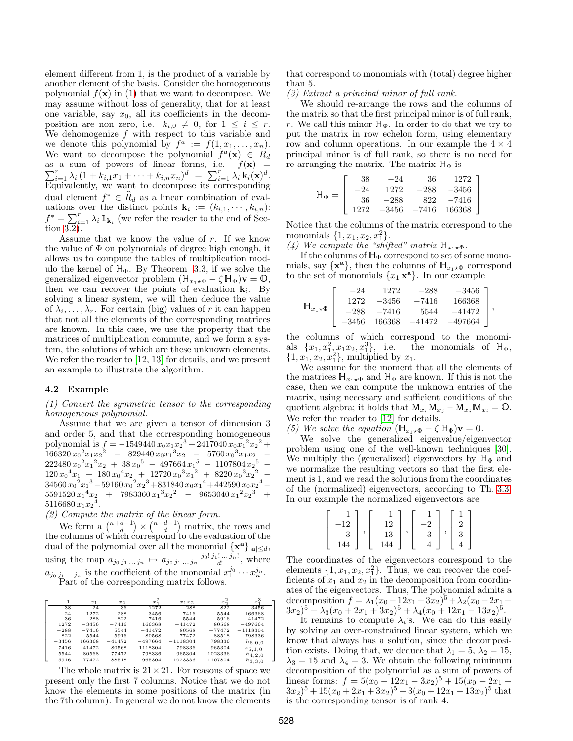element different from 1, is the product of a variable by another element of the basis. Consider the homogeneous polynomial  $f(\mathbf{x})$  in [\(1\)](#page-0-1) that we want to decompose. We may assume without loss of generality, that for at least one variable, say  $x_0$ , all its coefficients in the decomposition are non zero, i.e.  $k_{i,0} \neq 0$ , for  $1 \leq i \leq r$ . We dehomogenize  $f$  with respect to this variable and we denote this polynomial by  $f^a := f(1, x_1, \ldots, x_n)$ . We want to decompose the polynomial  $f^a(\mathbf{x}) \in R_d$ as a sum of powers of linear forms, i.e.  $f(\mathbf{x}) =$  $\sum_{i=1}^r \lambda_i (1 + k_{i,1}x_1 + \cdots + k_{i,n}x_n)^d = \sum_{i=1}^r \lambda_i \mathbf{k}_i(\mathbf{x})^d.$ Equivalently, we want to decompose its corresponding dual element  $f^* \in \hat{R}_d$  as a linear combination of evaluations over the distinct points  $\mathbf{k}_i := (k_{i,1}, \dots, k_{i,n})$ :  $f^* = \sum_{i=1}^r \lambda_i \mathbb{1}_{\mathbf{k}_i}$  (we refer the reader to the end of Section [3.2\)](#page-1-4).

Assume that we know the value of r. If we know the value of  $\Phi$  on polynomials of degree high enough, it allows us to compute the tables of multiplication modulo the kernel of  $H_{\Phi}$ . By Theorem [3.3,](#page-2-1) if we solve the generalized eigenvector problem  $(\mathbb{H}_{x_1\star\Phi}-\zeta\,\mathbb{H}_\Phi)\mathbf{v}=\mathbb{O},$ then we can recover the points of evaluation  $\mathbf{k}_i$ . By solving a linear system, we will then deduce the value of  $\lambda_i, \ldots, \lambda_r$ . For certain (big) values of r it can happen that not all the elements of the corresponding matrices are known. In this case, we use the property that the matrices of multiplication commute, and we form a system, the solutions of which are these unknown elements. We refer the reader to [\[12,](#page-4-11) [13\]](#page-4-12) for details, and we present an example to illustrate the algorithm.

### 4.2 Example

(1) Convert the symmetric tensor to the corresponding homogeneous polynomial.

Assume that we are given a tensor of dimension 3 and order 5, and that the corresponding homogeneous polynomial is  $f = -1549440 x_0 x_1 x_2^3 + 2417040 x_0 x_1^2 x_2^2 +$  $\frac{166320 x_0^2 x_1 x_2^2}{x_0^2 x_1^2}$  - 829440  $x_0 x_1^3 x_2$  - 5760  $x_0^3 x_1 x_2$  - $222480 x_0^2 x_1^2 x_2 + 38 x_0^5 - 497664 x_1^5 - 1107804 x_2^5$  –  $120 x_0^4 x_1 + 180 x_0^4 x_2 + 12720 x_0^3 x_1^2 + 8220 x_0^3 x_2^2$  $34560 x<sub>0</sub><sup>2</sup>x<sub>1</sub><sup>3</sup> - 59160 x<sub>0</sub><sup>2</sup>x<sub>2</sub><sup>3</sup> + 831840 x<sub>0</sub>x<sub>1</sub><sup>4</sup> + 442590 x<sub>0</sub>x<sub>2</sub><sup>4</sup> 5591520 x_1^4 x_2 + 7983360 x_1^3 x_2^2 - 9653040 x_1^2 x_2^3 +$  $5116680 x_1x_2^4$ .

(2) Compute the matrix of the linear form.

We form  $a\binom{n+d-1}{d}\times\binom{n+d-1}{d}$  matrix, the rows and the columns of which correspond to the evaluation of the dual of the polynomial over all the monomial  $\{x^a\}_{|a|\leq d}$ , using the map  $a_{j_0 j_1 ... j_n} \mapsto a_{j_0 j_1 ... j_n} \frac{j_0! j_1! ... j_n!}{d!}$ , where  $a_{j_0 j_1 \dots j_n}$  is the coefficient of the monomial  $x_1^{j_0} \cdots x_n^{j_n}$ . Part of the corresponding matrix follows.

|         | $x_1$    | $x_2$    | $x_1^2$    | $x_1x_2$   | $x_2^2$    | $x^3$       |
|---------|----------|----------|------------|------------|------------|-------------|
| 38      | $-24$    | 36       | 1272       | $-288$     | 822        | $-3456$     |
| $-24$   | 1272     | $-288$   | $-3456$    | $-7416$    | 5544       | 166368      |
| 36      | $-288$   | 822      | $-7416$    | 5544       | $-5916$    | $-41472$    |
| 1272    | $-3456$  | $-7416$  | 166368     | $-41472$   | 80568      | $-497664$   |
| $-288$  | $-7416$  | 5544     | $-41472$   | 80568      | $-77472$   | $-1118304$  |
| 822     | 5544     | $-5916$  | 80568      | $-77472$   | 88518      | 798336      |
| $-3456$ | 166368   | $-41472$ | $-497664$  | $-1118304$ | 798336     | $h_{6,0,0}$ |
| $-7416$ | $-41472$ | 80568    | $-1118304$ | 798336     | $-965304$  | $h_{5,1,0}$ |
| 5544    | 80568    | $-77472$ | 798336     | $-965304$  | 1023336    | $h_{4,2,0}$ |
| $-5916$ | $-77472$ | 88518    | $-965304$  | 1023336    | $-1107804$ | $h_{3,3,0}$ |

The whole matrix is  $21 \times 21$ . For reasons of space we present only the first 7 columns. Notice that we do not know the elements in some positions of the matrix (in the 7th column). In general we do not know the elements that correspond to monomials with (total) degree higher than 5.

(3) Extract a principal minor of full rank.

We should re-arrange the rows and the columns of the matrix so that the first principal minor is of full rank, r. We call this minor  $H_{\Phi}$ . In order to do that we try to put the matrix in row echelon form, using elementary row and column operations. In our example the  $4 \times 4$ principal minor is of full rank, so there is no need for re-arranging the matrix. The matrix  $H_{\Phi}$  is

|              | 38   | $-24$   | 36      | 1272    |
|--------------|------|---------|---------|---------|
|              | - 24 | 1272    | $-288$  | $-3456$ |
| $H_{\Phi} =$ | 36   | $-288$  | 822     | $-7416$ |
|              | 1272 | $-3456$ | $-7416$ | 166368  |

Notice that the columns of the matrix correspond to the monomials  $\{1, x_1, x_2, x_1^2\}.$ 

(4) We compute the "shifted" matrix  $\mathbb{H}_{x_1\star\Phi}$ .

If the columns of  $H_{\Phi}$  correspond to set of some monomials, say  $\{x^{\mathbf{a}}\}$ , then the columns of  $\mathbb{H}_{x_1 \star \Phi}$  correspond to the set of monomials  $\{x_1 \times^{\mathbf{a}}\}$ . In our example

$$
\mathbb{H}_{x_1 \star \Phi} \left[ \begin{array}{cccc} -24 & 1272 & -288 & -3456 \\ 1272 & -3456 & -7416 & 166368 \\ -288 & -7416 & 5544 & -41472 \\ -3456 & 166368 & -41472 & -497664 \end{array} \right],
$$

the columns of which correspond to the monomials  $\{x_1, x_1^2, x_1x_2, x_1^3\}$ the monomials of  $H_{\Phi}$ ,  $\{1, x_1, x_2, x_1^2\}$ , multiplied by  $x_1$ .

We assume for the moment that all the elements of the matrices  $H_{x_1\star\Phi}$  and  $H_{\Phi}$  are known. If this is not the case, then we can compute the unknown entries of the matrix, using necessary and sufficient conditions of the quotient algebra; it holds that  $\mathbb{M}_{x_i} \mathbb{M}_{x_j} - \mathbb{M}_{x_j} \mathbb{M}_{x_i} = \mathbb{O}$ . We refer the reader to [\[12\]](#page-4-11) for details.

(5) We solve the equation  $(\mathbb{H}_{x_1\star\Phi}-\zeta\mathbb{H}_{\Phi})\mathbf{v}=0.$ 

We solve the generalized eigenvalue/eigenvector problem using one of the well-known techniques [\[30\]](#page-4-29). We multiply the (generalized) eigenvectors by  $H_{\Phi}$  and we normalize the resulting vectors so that the first element is 1, and we read the solutions from the coordinates of the (normalized) eigenvectors, according to Th. [3.3.](#page-2-1) In our example the normalized eigenvectors are

| 12 | 12           |   | "  |  |
|----|--------------|---|----|--|
|    | $^{\rm -13}$ | 2 | כי |  |
|    |              |   |    |  |

The coordinates of the eigenvectors correspond to the elements  $\{1, x_1, x_2, x_1^2\}$ . Thus, we can recover the coefficients of  $x_1$  and  $x_2$  in the decomposition from coordinates of the eigenvectors. Thus, The polynomial admits a decomposition  $f = \lambda_1(x_0 - 12x_1 - 3x_2)^5 + \lambda_2(x_0 - 2x_1 +$  $(3x_2)^5 + \lambda_3(x_0 + 2x_1 + 3x_2)^5 + \lambda_4(x_0 + 12x_1 - 13x_2)^5$ .

It remains to compute  $\lambda_i$ 's. We can do this easily by solving an over-constrained linear system, which we know that always has a solution, since the decomposition exists. Doing that, we deduce that  $\lambda_1 = 5, \lambda_2 = 15$ ,  $\lambda_3 = 15$  and  $\lambda_4 = 3$ . We obtain the following minimum decomposition of the polynomial as a sum of powers of linear forms:  $f = 5(x_0 - 12x_1 - 3x_2)^5 + 15(x_0 - 2x_1 +$  $(3x_2)^5 + 15(x_0 + 2x_1 + 3x_2)^5 + 3(x_0 + 12x_1 - 13x_2)^5$  that is the corresponding tensor is of rank 4.